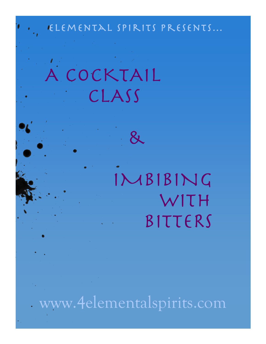# Elemental Spirits Presents…

&

 A COCKTAIL CLASS

# IMBIBING WITH BITTERS

ww.4elementalspirits.com